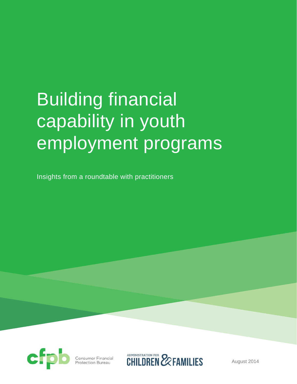# Building financial capability in youth employment programs

Insights from a roundtable with practitioners



Consumer Financia<mark>l</mark><br>Protection Bureau

**CHILDREN EXPERILLIES** 

August 2014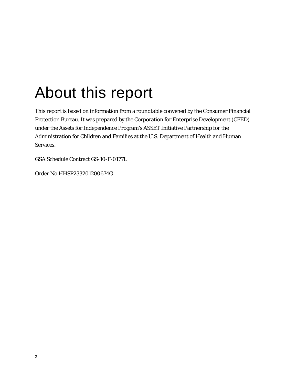# About this report

This report is based on information from a roundtable convened by the Consumer Financial Protection Bureau. It was prepared by the Corporation for Enterprise Development (CFED) under the Assets for Independence Program's ASSET Initiative Partnership for the Administration for Children and Families at the U.S. Department of Health and Human Services.

GSA Schedule Contract GS-10-F-0177L

Order No HHSP233201200674G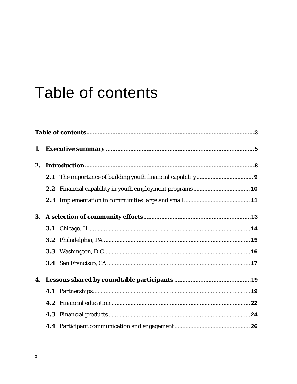# Table of contents

| 1.        |     |  |  |  |
|-----------|-----|--|--|--|
| 2.        |     |  |  |  |
|           | 2.1 |  |  |  |
|           | 2.2 |  |  |  |
|           |     |  |  |  |
| <b>3.</b> |     |  |  |  |
|           | 3.1 |  |  |  |
|           |     |  |  |  |
|           |     |  |  |  |
|           |     |  |  |  |
|           |     |  |  |  |
|           |     |  |  |  |
|           | 4.2 |  |  |  |
|           |     |  |  |  |
|           |     |  |  |  |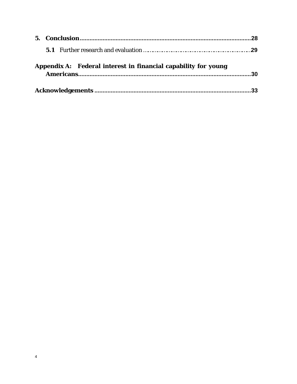| Appendix A: Federal interest in financial capability for young | 30 |
|----------------------------------------------------------------|----|
|                                                                |    |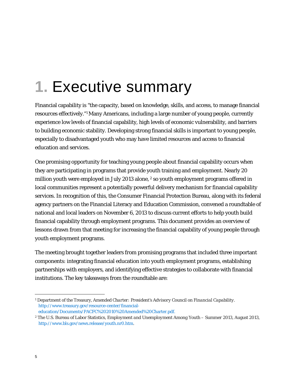# **1.** Executive summary

Financial capability is "the capacity, based on knowledge, skills, and access, to manage financial resources effectively."1 Many Americans, including a large number of young people, currently experience low levels of financial capability, high levels of economic vulnerability, and barriers to building economic stability. Developing strong financial skills is important to young people, especially to disadvantaged youth who may have limited resources and access to financial education and services.

One promising opportunity for teaching young people about financial capability occurs when they are participating in programs that provide youth training and employment. Nearly 20 million youth were employed in July 2013 alone, <sup>2</sup> so youth employment programs offered in local communities represent a potentially powerful delivery mechanism for financial capability services. In recognition of this, the Consumer Financial Protection Bureau, along with its federal agency partners on the Financial Literacy and Education Commission, convened a roundtable of national and local leaders on November 6, 2013 to discuss current efforts to help youth build financial capability through employment programs. This document provides an overview of lessons drawn from that meeting for increasing the financial capability of young people through youth employment programs.

The meeting brought together leaders from promising programs that included three important components: integrating financial education into youth employment programs, establishing partnerships with employers, and identifying effective strategies to collaborate with financial institutions. The key takeaways from the roundtable are:

 $\overline{a}$ 1 Department of the Treasury, *Amended Charter: President's Advisory Council on Financial Capability.* http://www.treasury.gov/resource-center/financialeducation/Documents/PACFC%202010%20Amended%20Charter.pdf.

<sup>2</sup> The U.S. Bureau of Labor Statistics, *Employment and Unemployment Among Youth – Summer 2013*, August 2013, http://www.bls.gov/news.release/youth.nr0.htm.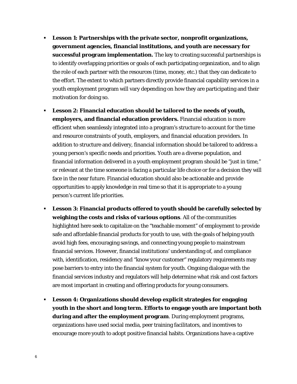- **Lesson 1: Partnerships with the private sector, nonprofit organizations, government agencies, financial institutions, and youth are necessary for successful program implementation.** The key to creating successful partnerships is to identify overlapping priorities or goals of each participating organization, and to align the role of each partner with the resources (time, money, etc.) that they can dedicate to the effort. The extent to which partners directly provide financial capability services in a youth employment program will vary depending on how they are participating and their motivation for doing so.
- **Lesson 2: Financial education should be tailored to the needs of youth, employers, and financial education providers.** Financial education is more efficient when seamlessly integrated into a program's structure to account for the time and resource constraints of youth, employers, and financial education providers. In addition to structure and delivery, financial information should be tailored to address a young person's specific needs and priorities. Youth are a diverse population, and financial information delivered in a youth employment program should be "just in time," or relevant at the time someone is facing a particular life choice or for a decision they will face in the near future. Financial education should also be actionable and provide opportunities to apply knowledge in real time so that it is appropriate to a young person's current life priorities.
- **Lesson 3: Financial products offered to youth should be carefully selected by weighing the costs and risks of various options**. All of the communities highlighted here seek to capitalize on the "teachable moment" of employment to provide safe and affordable financial products for youth to use, with the goals of helping youth avoid high fees, encouraging savings, and connecting young people to mainstream financial services. However, financial institutions' understanding of, and compliance with, identification, residency and "know your customer" regulatory requirements may pose barriers to entry into the financial system for youth. Ongoing dialogue with the financial services industry and regulators will help determine what risk and cost factors are most important in creating and offering products for young consumers.
- **Lesson 4: Organizations should develop explicit strategies for engaging youth in the short and long term. Efforts to engage youth are important both during and after the employment program**. During employment programs, organizations have used social media, peer training facilitators, and incentives to encourage more youth to adopt positive financial habits. Organizations have a captive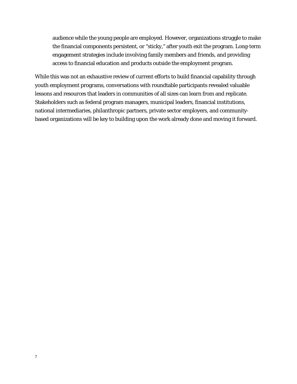audience while the young people are employed. However, organizations struggle to make the financial components persistent, or "sticky," after youth exit the program. Long-term engagement strategies include involving family members and friends, and providing access to financial education and products outside the employment program.

While this was not an exhaustive review of current efforts to build financial capability through youth employment programs, conversations with roundtable participants revealed valuable lessons and resources that leaders in communities of all sizes can learn from and replicate. Stakeholders such as federal program managers, municipal leaders, financial institutions, national intermediaries, philanthropic partners, private sector employers, and communitybased organizations will be key to building upon the work already done and moving it forward.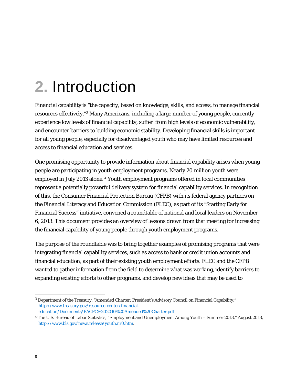# **2.** Introduction

Financial capability is "the capacity, based on knowledge, skills, and access, to manage financial resources effectively."3 Many Americans, including a large number of young people, currently experience low levels of financial capability, suffer from high levels of economic vulnerability, and encounter barriers to building economic stability. Developing financial skills is important for all young people, especially for disadvantaged youth who may have limited resources and access to financial education and services.

One promising opportunity to provide information about financial capability arises when young people are participating in youth employment programs. Nearly 20 million youth were employed in July 2013 alone. 4 Youth employment programs offered in local communities represent a potentially powerful delivery system for financial capability services. In recognition of this, the Consumer Financial Protection Bureau (CFPB) with its federal agency partners on the Financial Literacy and Education Commission (FLEC), as part of its "Starting Early for Financial Success" initiative, convened a roundtable of national and local leaders on November 6, 2013. This document provides an overview of lessons drawn from that meeting for increasing the financial capability of young people through youth employment programs.

The purpose of the roundtable was to bring together examples of promising programs that were integrating financial capability services, such as access to bank or credit union accounts and financial education, as part of their existing youth employment efforts. FLEC and the CFPB wanted to gather information from the field to determine what was working, identify barriers to expanding existing efforts to other programs, and develop new ideas that may be used to

<sup>&</sup>lt;u>.</u> 3 Department of the Treasury, "Amended Charter: President's Advisory Council on Financial Capability." http://www.treasury.gov/resource-center/financialeducation/Documents/PACFC%202010%20Amended%20Charter.pdf

<sup>4</sup> The U.S. Bureau of Labor Statistics, "Employment and Unemployment Among Youth – Summer 2013," August 2013, http://www.bls.gov/news.release/youth.nr0.htm.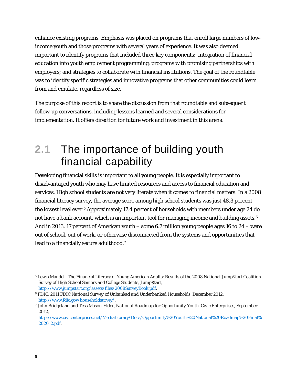enhance existing programs. Emphasis was placed on programs that enroll large numbers of lowincome youth and those programs with several years of experience. It was also deemed important to identify programs that included three key components: integration of financial education into youth employment programming; programs with promising partnerships with employers; and strategies to collaborate with financial institutions. The goal of the roundtable was to identify specific strategies and innovative programs that other communities could learn from and emulate, regardless of size.

The purpose of this report is to share the discussion from that roundtable and subsequent follow-up conversations, including lessons learned and several considerations for implementation. It offers direction for future work and investment in this arena.

## **2.1** The importance of building youth financial capability

Developing financial skills is important to all young people. It is especially important to disadvantaged youth who may have limited resources and access to financial education and services. High school students are not very literate when it comes to financial matters. In a 2008 financial literacy survey, the average score among high school students was just 48.3 percent, the lowest level ever.5 Approximately 17.4 percent of households with members under age 24 do not have a bank account, which is an important tool for managing income and building assets.<sup>6</sup> And in 2013, 17 percent of American youth – some 6.7 million young people ages 16 to 24 – were out of school, out of work, or otherwise disconnected from the systems and opportunities that lead to a financially secure adulthood.<sup>7</sup>

 $\overline{a}$ 

<sup>5</sup> Lewis Mandell, The Financial Literacy of Young American Adults: Results of the 2008 National Jump\$tart Coalition Survey of High School Seniors and College Students, Jump\$tart,

http://www.jumpstart.org/assets/files/2008SurveyBook.pdf.

<sup>6</sup> FDIC, *2011 FDIC National Survey of Unbanked and Underbanked Households*, December 2012, http://www.fdic.gov/householdsurvey/.

<sup>7</sup> John Bridgeland and Tess Mason-Elder, *National Roadmap for Opportunity Youth, Civic Enterprises*, September 2012,

http://www.civicenterprises.net/MediaLibrary/Docs/Opportunity%20Youth%20National%20Roadmap%20Final% 202012.pdf.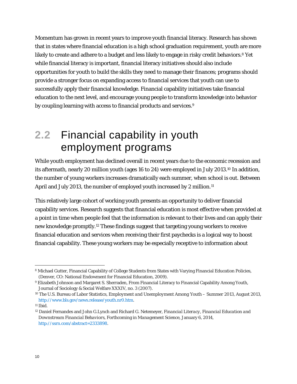Momentum has grown in recent years to improve youth financial literacy. Research has shown that in states where financial education is a high school graduation requirement, youth are more likely to create and adhere to a budget and less likely to engage in risky credit behaviors.<sup>8</sup> Yet while financial literacy is important, financial literacy initiatives should also include opportunities for youth to build the skills they need to manage their finances; programs should provide a stronger focus on expanding access to financial services that youth can use to successfully apply their financial knowledge. Financial capability initiatives take financial education to the next level, and encourage young people to transform knowledge into behavior by coupling learning with access to financial products and services.9

## **2.2** Financial capability in youth employment programs

While youth employment has declined overall in recent years due to the economic recession and its aftermath, nearly 20 million youth (ages 16 to 24) were employed in July 2013.10 In addition, the number of young workers increases dramatically each summer, when school is out. Between April and July 2013, the number of employed youth increased by 2 million.<sup>11</sup>

This relatively large cohort of working youth presents an opportunity to deliver financial capability services. Research suggests that financial education is most effective when provided at a point in time when people feel that the information is relevant to their lives and can apply their new knowledge promptly.12 These findings suggest that targeting young workers to receive financial education and services when receiving their first paychecks is a logical way to boost financial capability. These young workers may be especially receptive to information about

<sup>&</sup>lt;u>.</u> 8 Michael Gutter, Financial Capability of College Students from States with Varying Financial Education Policies, (Denver, CO: National Endowment for Financial Education, 2009).

<sup>9</sup> Elizabeth Johnson and Margaret S. Sherraden, From Financial Literacy to Financial Capability Among Youth, Journal of Sociology & Social Welfare XXXIV, no. 3 (2007).

<sup>10</sup> The U.S. Bureau of Labor Statistics, *Employment and Unemployment Among Youth – Summer 2013*, August 2013, http://www.bls.gov/news.release/youth.nr0.htm.

 $11$  Ibid.

<sup>12</sup> Daniel Fernandes and John G.Lynch and Richard G. Netemeyer, *Financial Literacy, Financial Education and Downstream Financial Behaviors*, Forthcoming in *Management Science*, January 6, 2014, http://ssrn.com/abstract=2333898.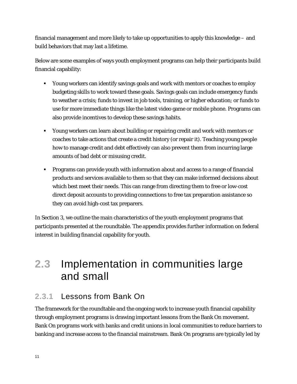financial management and more likely to take up opportunities to apply this knowledge – and build behaviors that may last a lifetime.

Below are some examples of ways youth employment programs can help their participants build financial capability:

- Young workers can identify savings goals and work with mentors or coaches to employ budgeting skills to work toward these goals. Savings goals can include emergency funds to weather a crisis; funds to invest in job tools, training, or higher education; or funds to use for more immediate things like the latest video game or mobile phone. Programs can also provide incentives to develop these savings habits.
- Young workers can learn about building or repairing credit and work with mentors or coaches to take actions that create a credit history (or repair it). Teaching young people how to manage credit and debt effectively can also prevent them from incurring large amounts of bad debt or misusing credit.
- Programs can provide youth with information about and access to a range of financial products and services available to them so that they can make informed decisions about which best meet their needs. This can range from directing them to free or low-cost direct deposit accounts to providing connections to free tax preparation assistance so they can avoid high-cost tax preparers.

In Section 3, we outline the main characteristics of the youth employment programs that participants presented at the roundtable. The appendix provides further information on federal interest in building financial capability for youth.

### **2.3** Implementation in communities large and small

### **2.3.1** Lessons from Bank On

The framework for the roundtable and the ongoing work to increase youth financial capability through employment programs is drawing important lessons from the Bank On movement. Bank On programs work with banks and credit unions in local communities to reduce barriers to banking and increase access to the financial mainstream. Bank On programs are typically led by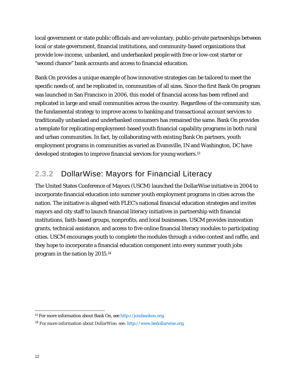local government or state public officials and are voluntary, public-private partnerships between local or state government, financial institutions, and community-based organizations that provide low-income, unbanked, and underbanked people with free or low-cost starter or "second chance" bank accounts and access to financial education.

Bank On provides a unique example of how innovative strategies can be tailored to meet the specific needs of, and be replicated in, communities of all sizes. Since the first Bank On program was launched in San Francisco in 2006, this model of financial access has been refined and replicated in large and small communities across the country. Regardless of the community size, the fundamental strategy to improve access to banking and transactional account services to traditionally unbanked and underbanked consumers has remained the same. Bank On provides a template for replicating employment-based youth financial capability programs in both rural and urban communities. In fact, by collaborating with existing Bank On partners, youth employment programs in communities as varied as Evansville, IN and Washington, DC have developed strategies to improve financial services for young workers.13

### **2.3.2** DollarWise: Mayors for Financial Literacy

The United States Conference of Mayors (USCM) launched the DollarWise initiative in 2004 to incorporate financial education into summer youth employment programs in cities across the nation. The initiative is aligned with FLEC's national financial education strategies and invites mayors and city staff to launch financial literacy initiatives in partnership with financial institutions, faith-based groups, nonprofits, and local businesses. USCM provides innovation grants, technical assistance, and access to five online financial literacy modules to participating cities. USCM encourages youth to complete the modules through a video contest and raffle, and they hope to incorporate a financial education component into every summer youth jobs program in the nation by 2015.14

<sup>&</sup>lt;u>.</u> 13 For more information about Bank On, see http://joinbankon.org.

<sup>14</sup> For more information about DollarWise, see: http://www.bedollarwise.org.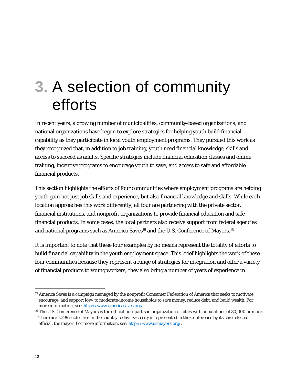# **3.** A selection of community efforts

In recent years, a growing number of municipalities, community-based organizations, and national organizations have begun to explore strategies for helping youth build financial capability as they participate in local youth employment programs. They pursued this work as they recognized that, in addition to job training, youth need financial knowledge, skills and access to succeed as adults. Specific strategies include financial education classes and online training, incentive programs to encourage youth to save, and access to safe and affordable financial products.

This section highlights the efforts of four communities where employment programs are helping youth gain not just job skills and experience, but also financial knowledge and skills. While each location approaches this work differently, all four are partnering with the private sector, financial institutions, and nonprofit organizations to provide financial education and safe financial products. In some cases, the local partners also receive support from federal agencies and national programs such as America Saves<sup>15</sup> and the U.S. Conference of Mayors.<sup>16</sup>

It is important to note that these four examples by no means represent the totality of efforts to build financial capability in the youth employment space. This brief highlights the work of these four communities because they represent a range of strategies for integration and offer a variety of financial products to young workers; they also bring a number of years of experience in

 $\overline{a}$ 

<sup>15</sup> America Saves is a campaign managed by the nonprofit Consumer Federation of America that seeks to motivate, encourage, and support low- to moderate-income households to save money, reduce debt, and build wealth. For more information, see: http://www.americasaves.org/.

<sup>&</sup>lt;sup>16</sup> The U.S. Conference of Mayors is the official non-partisan organization of cities with populations of 30,000 or more. There are 1,399 such cities in the country today. Each city is represented in the Conference by its chief elected official, the mayor. For more information, see: http://www.usmayors.org/.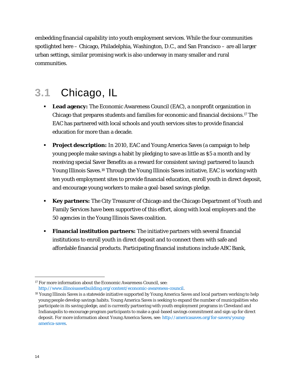embedding financial capability into youth employment services. While the four communities spotlighted here – Chicago, Philadelphia, Washington, D.C., and San Francisco – are all larger urban settings, similar promising work is also underway in many smaller and rural communities.

## **3.1** Chicago, IL

- **Lead agency:** The Economic Awareness Council (EAC), a nonprofit organization in Chicago that prepares students and families for economic and financial decisions.17 The EAC has partnered with local schools and youth services sites to provide financial education for more than a decade.
- **Project description:** In 2010, EAC and Young America Saves (a campaign to help young people make savings a habit by pledging to save as little as \$5 a month and by receiving special Saver Benefits as a reward for consistent saving) partnered to launch Young Illinois Saves.18 Through the Young Illinois Saves initiative, EAC is working with ten youth employment sites to provide financial education, enroll youth in direct deposit, and encourage young workers to make a goal-based savings pledge.
- **Key partners:** The City Treasurer of Chicago and the Chicago Department of Youth and Family Services have been supportive of this effort, along with local employers and the 50 agencies in the Young Illinois Saves coalition.
- **Financial institution partners:** The initiative partners with several financial institutions to enroll youth in direct deposit and to connect them with safe and affordable financial products. Participating financial instutions include ABC Bank,

 $\overline{a}$ <sup>17</sup> For more information about the Economic Awareness Council, see: http://www.illinoisassetbuilding.org/content/economic-awareness-council.

<sup>&</sup>lt;sup>18</sup> Young Illinois Saves is a statewide initiative supported by Young America Saves and local partners working to help young people develop savings habits. Young America Saves is seeking to expand the number of municipalities who participate in its saving pledge, and is currently partnering with youth employment programs in Cleveland and Indianapolis to encourage program participants to make a goal-based savings commitment and sign up for direct deposit. For more information about Young America Saves, see: http://americasaves.org/for-savers/youngamerica-saves.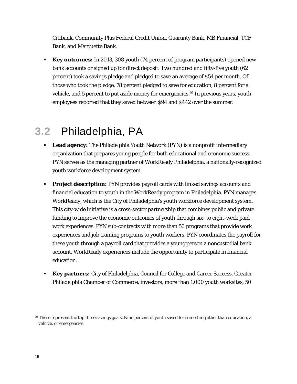Citibank, Community Plus Federal Credit Union, Guaranty Bank, MB Financial, TCF Bank, and Marquette Bank.

 **Key outcomes:** In 2013, 308 youth (74 percent of program participants) opened new bank accounts or signed up for direct deposit. Two hundred and fifty-five youth (62 percent) took a savings pledge and pledged to save an average of \$54 per month. Of those who took the pledge, 78 percent pledged to save for education, 8 percent for a vehicle, and 5 percent to put aside money for emergencies.19 In previous years, youth employees reported that they saved between \$94 and \$442 over the summer.

## **3.2** Philadelphia, PA

- **Lead agency:** The Philadelphia Youth Network (PYN) is a nonprofit intermediary organization that prepares young people for both educational and economic success. PYN serves as the managing partner of WorkReady Philadelphia, a nationally-recognized youth workforce development system.
- **Project description:** PYN provides payroll cards with linked savings accounts and financial education to youth in the WorkReady program in Philadelphia. PYN manages WorkReady, which is the City of Philadelphia's youth workforce development system. This city-wide initiative is a cross-sector partnership that combines public and private funding to improve the economic outcomes of youth through six- to eight-week paid work experiences. PYN sub-contracts with more than 50 programs that provide work experiences and job training programs to youth workers. PYN coordinates the payroll for these youth through a payroll card that provides a young person a noncustodial bank account. WorkReady experiences include the opportunity to participate in financial education.
- **Key partners:** City of Philadelphia, Council for College and Career Success, Greater Philadelphia Chamber of Commerce, investors, more than 1,000 youth worksites, 50

<u>.</u>

<sup>&</sup>lt;sup>19</sup> These represent the top three savings goals. Nine percent of youth saved for something other than education, a vehicle, or emergencies.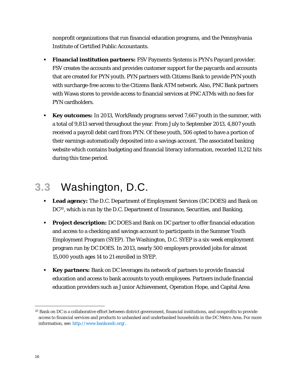nonprofit organizations that run financial education programs, and the Pennsylvania Institute of Certified Public Accountants.

- **Financial institution partners:** FSV Payments Systems is PYN's Paycard provider. FSV creates the accounts and provides customer support for the paycards and accounts that are created for PYN youth. PYN partners with Citizens Bank to provide PYN youth with surcharge-free access to the Citizens Bank ATM network. Also, PNC Bank partners with Wawa stores to provide access to financial services at PNC ATMs with no fees for PYN cardholders.
- **Key outcomes:** In 2013, WorkReady programs served 7,667 youth in the summer, with a total of 9,813 served throughout the year. From July to September 2013, 4,807 youth received a payroll debit card from PYN. Of these youth, 506 opted to have a portion of their earnings automatically deposited into a savings account. The associated banking website which contains budgeting and financial literacy information, recorded 11,212 hits during this time period.

## **3.3** Washington, D.C.

- **Lead agency:** The D.C. Department of Employment Services (DC DOES) and Bank on DC<sup>20</sup>, which is run by the D.C. Department of Insurance, Securities, and Banking.
- **Project description:** DC DOES and Bank on DC partner to offer financial education and access to a checking and savings account to participants in the Summer Youth Employment Program (SYEP). The Washington, D.C. SYEP is a six-week employment program run by DC DOES. In 2013, nearly 500 employers provided jobs for almost 15,000 youth ages 14 to 21 enrolled in SYEP.
- **Key partners:** Bank on DC leverages its network of partners to provide financial education and access to bank accounts to youth employees. Partners include financial education providers such as Junior Achievement, Operation Hope, and Capital Area

<u>.</u>

<sup>&</sup>lt;sup>20</sup> Bank on DC is a collaborative effort between district government, financial institutions, and nonprofits to provide access to financial services and products to unbanked and underbanked households in the DC Metro Area. For more information, see: http://www.bankondc.org/.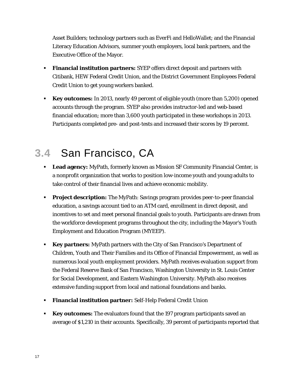Asset Builders; technology partners such as EverFi and HelloWallet; and the Financial Literacy Education Advisors, summer youth employers, local bank partners, and the Executive Office of the Mayor.

- **Financial institution partners:** SYEP offers direct deposit and partners with Citibank, HEW Federal Credit Union, and the District Government Employees Federal Credit Union to get young workers banked.
- **Key outcomes:** In 2013, nearly 49 percent of eligible youth (more than 5,200) opened accounts through the program. SYEP also provides instructor-led and web-based financial education; more than 3,600 youth participated in these workshops in 2013. Participants completed pre- and post-tests and increased their scores by 19 percent.

## **3.4** San Francisco, CA

- **Lead agency:** MyPath, formerly known as Mission SF Community Financial Center, is a nonprofit organization that works to position low-income youth and young adults to take control of their financial lives and achieve economic mobility.
- **Project description:** The MyPath: Savings program provides peer-to-peer financial education, a savings account tied to an ATM card, enrollment in direct deposit, and incentives to set and meet personal financial goals to youth. Participants are drawn from the workforce development programs throughout the city, including the Mayor's Youth Employment and Education Program (MYEEP).
- **Key partners:** MyPath partners with the City of San Francisco's Department of Children, Youth and Their Families and its Office of Financial Empowerment, as well as numerous local youth employment providers. MyPath receives evaluation support from the Federal Reserve Bank of San Francisco, Washington University in St. Louis Center for Social Development, and Eastern Washington University. MyPath also receives extensive funding support from local and national foundations and banks.
- **Financial institution partner:** Self-Help Federal Credit Union
- **Key outcomes:** The evaluators found that the 197 program participants saved an average of \$1,210 in their accounts. Specifically, 39 percent of participants reported that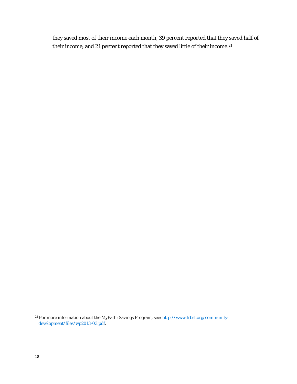they saved most of their income each month, 39 percent reported that they saved half of their income, and 21 percent reported that they saved little of their income.<sup>21</sup>

 $\overline{a}$ 

<sup>&</sup>lt;sup>21</sup> For more information about the MyPath: Savings Program, see: http://www.frbsf.org/communitydevelopment/files/wp2013-03.pdf.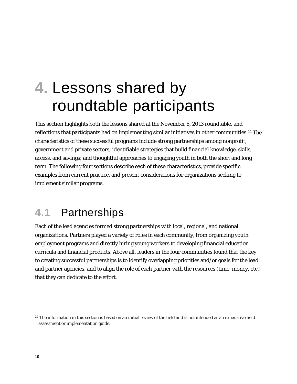# **4.** Lessons shared by roundtable participants

This section highlights both the lessons shared at the November 6, 2013 roundtable, and reflections that participants had on implementing similar initiatives in other communities.<sup>22</sup> The characteristics of these successful programs include strong partnerships among nonprofit, government and private sectors; identifiable strategies that build financial knowledge, skills, access, and savings; and thoughtful approaches to engaging youth in both the short and long term. The following four sections describe each of these characteristics, provide specific examples from current practice, and present considerations for organizations seeking to implement similar programs.

## **4.1** Partnerships

Each of the lead agencies formed strong partnerships with local, regional, and national organizations. Partners played a variety of roles in each community, from organizing youth employment programs and directly hiring young workers to developing financial education curricula and financial products. Above all, leaders in the four communities found that the key to creating successful partnerships is to identify overlapping priorities and/or goals for the lead and partner agencies, and to align the role of each partner with the resources (time, money, etc.) that they can dedicate to the effort.

<u>.</u>

<sup>&</sup>lt;sup>22</sup> The information in this section is based on an initial review of the field and is not intended as an exhaustive field assessment or implementation guide.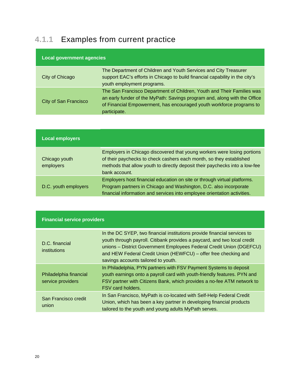### **4.1.1** Examples from current practice

| <b>Local government agencies</b> |                                                                                                                                                                                                                                             |  |  |  |
|----------------------------------|---------------------------------------------------------------------------------------------------------------------------------------------------------------------------------------------------------------------------------------------|--|--|--|
| City of Chicago                  | The Department of Children and Youth Services and City Treasurer<br>support EAC's efforts in Chicago to build financial capability in the city's<br>youth employment programs.                                                              |  |  |  |
| City of San Francisco            | The San Francisco Department of Children, Youth and Their Families was<br>an early funder of the MyPath: Savings program and, along with the Office<br>of Financial Empowerment, has encouraged youth workforce programs to<br>participate. |  |  |  |

| <b>Local employers</b>     |                                                                                                                                                                                                                                                |
|----------------------------|------------------------------------------------------------------------------------------------------------------------------------------------------------------------------------------------------------------------------------------------|
| Chicago youth<br>employers | Employers in Chicago discovered that young workers were losing portions<br>of their paychecks to check cashers each month, so they established<br>methods that allow youth to directly deposit their paychecks into a low-fee<br>bank account. |
| D.C. youth employers       | Employers host financial education on site or through virtual platforms.<br>Program partners in Chicago and Washington, D.C. also incorporate<br>financial information and services into employee orientation activities.                      |

| <b>Financial service providers</b>          |                                                                                                                                                                                                                                                                                                                                        |  |  |
|---------------------------------------------|----------------------------------------------------------------------------------------------------------------------------------------------------------------------------------------------------------------------------------------------------------------------------------------------------------------------------------------|--|--|
| D.C. financial<br>institutions              | In the DC SYEP, two financial institutions provide financial services to<br>youth through payroll. Citibank provides a paycard, and two local credit<br>unions - District Government Employees Federal Credit Union (DGEFCU)<br>and HEW Federal Credit Union (HEWFCU) – offer free checking and<br>savings accounts tailored to youth. |  |  |
| Philadelphia financial<br>service providers | In Philadelphia, PYN partners with FSV Payment Systems to deposit<br>youth earnings onto a payroll card with youth-friendly features. PYN and<br>FSV partner with Citizens Bank, which provides a no-fee ATM network to<br>FSV card holders.                                                                                           |  |  |
| San Francisco credit<br>union               | In San Francisco, MyPath is co-located with Self-Help Federal Credit<br>Union, which has been a key partner in developing financial products<br>tailored to the youth and young adults MyPath serves.                                                                                                                                  |  |  |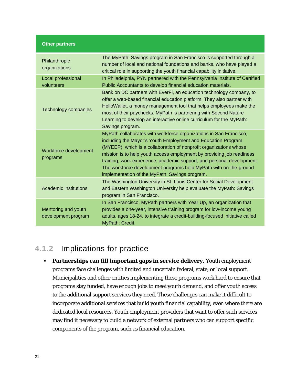#### **Other partners**

| Philanthropic<br>organizations             | The MyPath: Savings program in San Francisco is supported through a<br>number of local and national foundations and banks, who have played a<br>critical role in supporting the youth financial capability initiative.                                                                                                                                                                                                                                                             |
|--------------------------------------------|------------------------------------------------------------------------------------------------------------------------------------------------------------------------------------------------------------------------------------------------------------------------------------------------------------------------------------------------------------------------------------------------------------------------------------------------------------------------------------|
| Local professional<br>volunteers           | In Philadelphia, PYN partnered with the Pennsylvania Institute of Certified<br>Public Accountants to develop financial education materials.                                                                                                                                                                                                                                                                                                                                        |
| <b>Technology companies</b>                | Bank on DC partners with EverFi, an education technology company, to<br>offer a web-based financial education platform. They also partner with<br>HelloWallet, a money management tool that helps employees make the<br>most of their paychecks. MyPath is partnering with Second Nature<br>Learning to develop an interactive online curriculum for the MyPath:<br>Savings program.                                                                                               |
| Workforce development<br>programs          | MyPath collaborates with workforce organizations in San Francisco,<br>including the Mayor's Youth Employment and Education Program<br>(MYEEP), which is a collaboration of nonprofit organizations whose<br>mission is to help youth access employment by providing job readiness<br>training, work experience, academic support, and personal development.<br>The workforce development programs help MyPath with on-the-ground<br>implementation of the MyPath: Savings program. |
| Academic institutions                      | The Washington University in St. Louis Center for Social Development<br>and Eastern Washington University help evaluate the MyPath: Savings<br>program in San Francisco.                                                                                                                                                                                                                                                                                                           |
| Mentoring and youth<br>development program | In San Francisco, MyPath partners with Year Up, an organization that<br>provides a one-year, intensive training program for low-income young<br>adults, ages 18-24, to integrate a credit-building-focused initiative called<br>MyPath: Credit.                                                                                                                                                                                                                                    |

### **4.1.2** Implications for practice

**Partnerships can fill important gaps in service delivery.** Youth employment programs face challenges with limited and uncertain federal, state, or local support. Municipalities and other entities implementing these programs work hard to ensure that programs stay funded, have enough jobs to meet youth demand, and offer youth access to the additional support services they need. These challenges can make it difficult to incorporate additional services that build youth financial capability, even where there are dedicated local resources. Youth employment providers that want to offer such services may find it necessary to build a network of external partners who can support specific components of the program, such as financial education.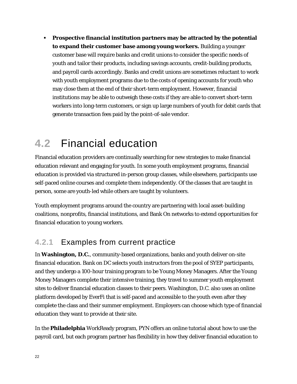**Prospective financial institution partners may be attracted by the potential to expand their customer base among young workers.** Building a younger customer base will require banks and credit unions to consider the specific needs of youth and tailor their products, including savings accounts, credit-building products, and payroll cards accordingly. Banks and credit unions are sometimes reluctant to work with youth employment programs due to the costs of opening accounts for youth who may close them at the end of their short-term employment. However, financial institutions may be able to outweigh these costs if they are able to convert short-term workers into long-term customers, or sign up large numbers of youth for debit cards that generate transaction fees paid by the point-of-sale vendor.

### **4.2** Financial education

Financial education providers are continually searching for new strategies to make financial education relevant and engaging for youth. In some youth employment programs, financial education is provided via structured in-person group classes, while elsewhere, participants use self-paced online courses and complete them independently. Of the classes that are taught in person, some are youth-led while others are taught by volunteers.

Youth employment programs around the country are partnering with local asset-building coalitions, nonprofits, financial institutions, and Bank On networks to extend opportunities for financial education to young workers.

### **4.2.1** Examples from current practice

In **Washington, D.C.**, community-based organizations, banks and youth deliver on-site financial education. Bank on DC selects youth instructors from the pool of SYEP participants, and they undergo a 100-hour training program to be Young Money Managers. After the Young Money Managers complete their intensive training, they travel to summer youth employment sites to deliver financial education classes to their peers. Washington, D.C. also uses an online platform developed by EverFi that is self-paced and accessible to the youth even after they complete the class and their summer employment. Employers can choose which type of financial education they want to provide at their site.

In the **Philadelphia** WorkReady program, PYN offers an online tutorial about how to use the payroll card, but each program partner has flexibility in how they deliver financial education to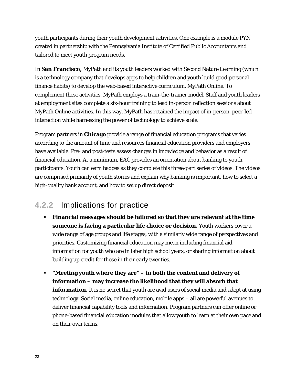youth participants during their youth development activities. One example is a module PYN created in partnership with the Pennsylvania Institute of Certified Public Accountants and tailored to meet youth program needs.

In **San Francisco,** MyPath and its youth leaders worked with Second Nature Learning (which is a technology company that develops apps to help children and youth build good personal finance habits) to develop the web-based interactive curriculum, MyPath Online. To complement these activities, MyPath employs a train-the-trainer model. Staff and youth leaders at employment sites complete a six-hour training to lead in-person reflection sessions about MyPath Online activities. In this way, MyPath has retained the impact of in-person, peer-led interaction while harnessing the power of technology to achieve scale.

Program partners in **Chicago** provide a range of financial education programs that varies according to the amount of time and resources financial education providers and employers have available. Pre- and post-tests assess changes in knowledge and behavior as a result of financial education. At a minimum, EAC provides an orientation about banking to youth participants. Youth can earn badges as they complete this three-part series of videos. The videos are comprised primarily of youth stories and explain why banking is important, how to select a high-quality bank account, and how to set up direct deposit.

### **4.2.2** Implications for practice

- **Financial messages should be tailored so that they are relevant at the time someone is facing a particular life choice or decision.** Youth workers cover a wide range of age groups and life stages, with a similarly wide range of perspectives and priorities. Customizing financial education may mean including financial aid information for youth who are in later high school years, or sharing information about building up credit for those in their early twenties.
- **"Meeting youth where they are" in both the content and delivery of information – may increase the likelihood that they will absorb that information.** It is no secret that youth are avid users of social media and adept at using technology. Social media, online education, mobile apps – all are powerful avenues to deliver financial capability tools and information. Program partners can offer online or phone-based financial education modules that allow youth to learn at their own pace and on their own terms.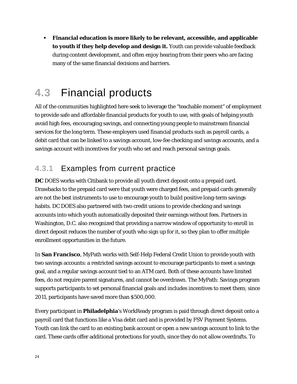**Financial education is more likely to be relevant, accessible, and applicable to youth if they help develop and design it.** Youth can provide valuable feedback during content development, and often enjoy hearing from their peers who are facing many of the same financial decisions and barriers.

## **4.3** Financial products

All of the communities highlighted here seek to leverage the "teachable moment" of employment to provide safe and affordable financial products for youth to use, with goals of helping youth avoid high fees, encouraging savings, and connecting young people to mainstream financial services for the long term. These employers used financial products such as payroll cards, a debit card that can be linked to a savings account, low-fee checking and savings accounts, and a savings account with incentives for youth who set and reach personal savings goals.

### **4.3.1** Examples from current practice

**DC** DOES works with Citibank to provide all youth direct deposit onto a prepaid card. Drawbacks to the prepaid card were that youth were charged fees, and prepaid cards generally are not the best instruments to use to encourage youth to build positive long-term savings habits. DC DOES also partnered with two credit unions to provide checking and savings accounts into which youth automatically deposited their earnings without fees. Partners in Washington, D.C. also recognized that providing a narrow window of opportunity to enroll in direct deposit reduces the number of youth who sign up for it, so they plan to offer multiple enrollment opportunities in the future.

In **San Francisco**, MyPath works with Self-Help Federal Credit Union to provide youth with two savings accounts: a restricted savings account to encourage participants to meet a savings goal, and a regular savings account tied to an ATM card. Both of these accounts have limited fees, do not require parent signatures, and cannot be overdrawn. The MyPath: Savings program supports participants to set personal financial goals and includes incentives to meet them; since 2011, participants have saved more than \$500,000.

Every participant in **Philadelphia**'s WorkReady program is paid through direct deposit onto a payroll card that functions like a Visa debit card and is provided by FSV Payment Systems. Youth can link the card to an existing bank account or open a new savings account to link to the card. These cards offer additional protections for youth, since they do not allow overdrafts. To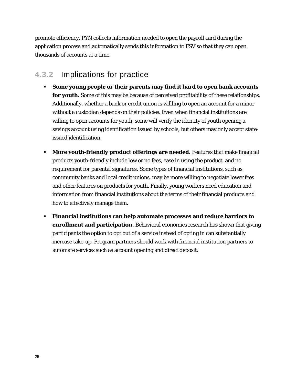promote efficiency, PYN collects information needed to open the payroll card during the application process and automatically sends this information to FSV so that they can open thousands of accounts at a time.

### **4.3.2** Implications for practice

- **Some young people or their parents may find it hard to open bank accounts for youth.** Some of this may be because of perceived profitability of these relationships. Additionally, whether a bank or credit union is willling to open an account for a minor without a custodian depends on their policies. Even when financial institutions are willing to open accounts for youth, some will verify the identity of youth opening a savings account using identification issued by schools, but others may only accept stateissued identification.
- **More youth-friendly product offerings are needed.** Features that make financial products youth-friendly include low or no fees, ease in using the product, and no requirement for parental signatures**.** Some types of financial institutions, such as community banks and local credit unions, may be more willing to negotiate lower fees and other features on products for youth. Finally, young workers need education and information from financial institutions about the terms of their financial products and how to effectively manage them.
- **Financial institutions can help automate processes and reduce barriers to enrollment and participation.** Behavioral economics research has shown that giving participants the option to opt out of a service instead of opting in can substantially increase take-up. Program partners should work with financial institution partners to automate services such as account opening and direct deposit.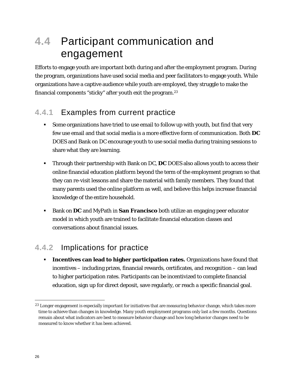## **4.4** Participant communication and engagement

Efforts to engage youth are important both during and after the employment program. During the program, organizations have used social media and peer facilitators to engage youth. While organizations have a captive audience while youth are employed, they struggle to make the financial components "sticky" after youth exit the program.23

### **4.4.1** Examples from current practice

- Some organizations have tried to use email to follow up with youth, but find that very few use email and that social media is a more effective form of communication. Both **DC**  DOES and Bank on DC encourage youth to use social media during training sessions to share what they are learning.
- Through their partnership with Bank on DC, **DC** DOES also allows youth to access their online financial education platform beyond the term of the employment program so that they can re-visit lessons and share the material with family members. They found that many parents used the online platform as well, and believe this helps increase financial knowledge of the entire household.
- Bank on **DC** and MyPath in **San Francisco** both utilize an engaging peer educator model in which youth are trained to facilitate financial education classes and conversations about financial issues.

### **4.4.2** Implications for practice

 **Incentives can lead to higher participation rates.** Organizations have found that incentives – including prizes, financial rewards, certificates, and recognition – can lead to higher participation rates. Participants can be incentivized to complete financial education, sign up for direct deposit, save regularly, or reach a specific financial goal.

<u>.</u>

<sup>&</sup>lt;sup>23</sup> Longer engagement is especially important for initiatives that are measuring behavior change, which takes more time to achieve than changes in knowledge. Many youth employment programs only last a few months. Questions remain about what indicators are best to measure behavior change and how long behavior changes need to be measured to know whether it has been achieved.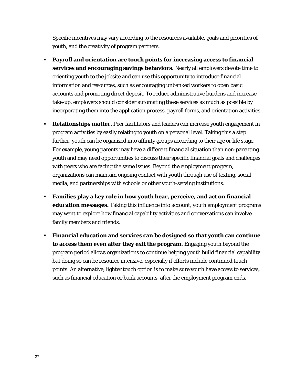Specific incentives may vary according to the resources available, goals and priorities of youth, and the creativity of program partners.

- **Payroll and orientation are touch points for increasing access to financial services and encouraging savings behaviors.** Nearly all employers devote time to orienting youth to the jobsite and can use this opportunity to introduce financial information and resources, such as encouraging unbanked workers to open basic accounts and promoting direct deposit. To reduce administrative burdens and increase take-up, employers should consider automating these services as much as possible by incorporating them into the application process, payroll forms, and orientation activities.
- **Relationships matter.** Peer facilitators and leaders can increase youth engagement in program activities by easily relating to youth on a personal level. Taking this a step further, youth can be organized into affinity groups according to their age or life stage. For example, young parents may have a different financial situation than non-parenting youth and may need opportunities to discuss their specific financial goals and challenges with peers who are facing the same issues. Beyond the employment program, organizations can maintain ongoing contact with youth through use of texting, social media, and partnerships with schools or other youth-serving institutions.
- **Families play a key role in how youth hear, perceive, and act on financial education messages.** Taking this influence into account, youth employment programs may want to explore how financial capability activities and conversations can involve family members and friends.
- **Financial education and services can be designed so that youth can continue to access them even after they exit the program.** Engaging youth beyond the program period allows organizations to continue helping youth build financial capability but doing so can be resource intensive, especially if efforts include continued touch points. An alternative, lighter touch option is to make sure youth have access to services, such as financial education or bank accounts, after the employment program ends.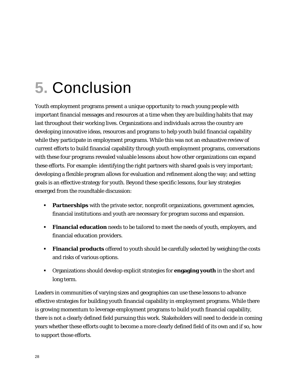# **5.** Conclusion

Youth employment programs present a unique opportunity to reach young people with important financial messages and resources at a time when they are building habits that may last throughout their working lives. Organizations and individuals across the country are developing innovative ideas, resources and programs to help youth build financial capability while they participate in employment programs. While this was not an exhaustive review of current efforts to build financial capability through youth employment programs, conversations with these four programs revealed valuable lessons about how other organizations can expand these efforts. For example: identifying the right partners with shared goals is very important; developing a flexible program allows for evaluation and refinement along the way; and setting goals is an effective strategy for youth. Beyond these specific lessons, four key strategies emerged from the roundtable discussion:

- **Partnerships** with the private sector, nonprofit organizations, government agencies, financial institutions and youth are necessary for program success and expansion.
- **Financial education** needs to be tailored to meet the needs of youth, employers, and financial education providers.
- **Financial products** offered to youth should be carefully selected by weighing the costs and risks of various options.
- Organizations should develop explicit strategies for **engaging youth** in the short and long term.

Leaders in communities of varying sizes and geographies can use these lessons to advance effective strategies for building youth financial capability in employment programs. While there is growing momentum to leverage employment programs to build youth financial capability, there is not a clearly defined field pursuing this work. Stakeholders will need to decide in coming years whether these efforts ought to become a more clearly defined field of its own and if so, how to support those efforts.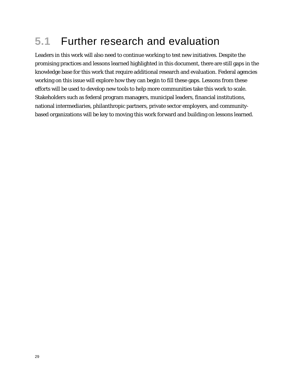## **5.1** Further research and evaluation

Leaders in this work will also need to continue working to test new initiatives. Despite the promising practices and lessons learned highlighted in this document, there are still gaps in the knowledge base for this work that require additional research and evaluation. Federal agencies working on this issue will explore how they can begin to fill these gaps. Lessons from these efforts will be used to develop new tools to help more communities take this work to scale. Stakeholders such as federal program managers, municipal leaders, financial institutions, national intermediaries, philanthropic partners, private sector employers, and communitybased organizations will be key to moving this work forward and building on lessons learned.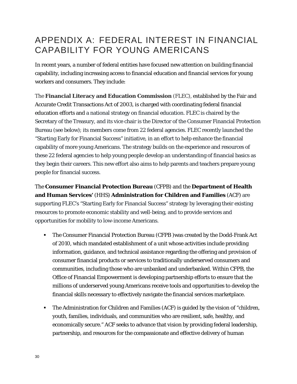### APPENDIX A: FEDERAL INTEREST IN FINANCIAL CAPABILITY FOR YOUNG AMERICANS

In recent years, a number of federal entities have focused new attention on building financial capability, including increasing access to financial education and financial services for young workers and consumers. They include:

The **Financial Literacy and Education Commission** (FLEC), established by the Fair and Accurate Credit Transactions Act of 2003, is charged with coordinating federal financial education efforts and a national strategy on financial education. FLEC is chaired by the Secretary of the Treasury, and its vice chair is the Director of the Consumer Financial Protection Bureau (see below); its members come from 22 federal agencies. FLEC recently launched the "Starting Early for Financial Success" initiative, in an effort to help enhance the financial capability of more young Americans. The strategy builds on the experience and resources of these 22 federal agencies to help young people develop an understanding of financial basics as they begin their careers. This new effort also aims to help parents and teachers prepare young people for financial success.

The **Consumer Financial Protection Bureau** (CFPB) and the **Department of Health and Human Services'** (HHS) **Administration for Children and Families** (ACF) are supporting FLEC's "Starting Early for Financial Success" strategy by leveraging their existing resources to promote economic stability and well-being, and to provide services and opportunities for mobility to low-income Americans.

- The Consumer Financial Protection Bureau (CFPB )was created by the Dodd-Frank Act of 2010, which mandated establishment of a unit whose activities include providing information, guidance, and technical assistance regarding the offering and provision of consumer financial products or services to traditionally underserved consumers and communities, including those who are unbanked and underbanked. Within CFPB, the Office of Financial Empowerment is developing partnership efforts to ensure that the millions of underserved young Americans receive tools and opportunities to develop the financial skills necessary to effectively navigate the financial services marketplace.
- The Administration for Children and Families (ACF) is guided by the vision of "children, youth, families, individuals, and communities who are resilient, safe, healthy, and economically secure." ACF seeks to advance that vision by providing federal leadership, partnership, and resources for the compassionate and effective delivery of human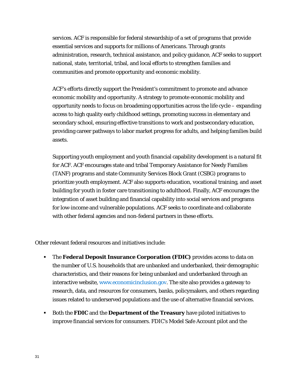services. ACF is responsible for federal stewardship of a set of programs that provide essential services and supports for millions of Americans. Through grants administration, research, technical assistance, and policy guidance, ACF seeks to support national, state, territorial, tribal, and local efforts to strengthen families and communities and promote opportunity and economic mobility.

ACF's efforts directly support the President's commitment to promote and advance economic mobility and opportunity. A strategy to promote economic mobility and opportunity needs to focus on broadening opportunities across the life cycle – expanding access to high quality early childhood settings, promoting success in elementary and secondary school, ensuring effective transitions to work and postsecondary education, providing career pathways to labor market progress for adults, and helping families build assets.

Supporting youth employment and youth financial capability development is a natural fit for ACF. ACF encourages state and tribal Temporary Assistance for Needy Families (TANF) programs and state Community Services Block Grant (CSBG) programs to prioritize youth employment. ACF also supports education, vocational training, and asset building for youth in foster care transitioning to adulthood. Finally, ACF encourages the integration of asset building and financial capability into social services and programs for low-income and vulnerable populations. ACF seeks to coordinate and collaborate with other federal agencies and non-federal partners in these efforts.

Other relevant federal resources and initiatives include:

- The **Federal Deposit Insurance Corporation (FDIC)** provides access to data on the number of U.S. households that are unbanked and underbanked, their demographic characteristics, and their reasons for being unbanked and underbanked through an interactive website, www.economicinclusion.gov. The site also provides a gateway to research, data, and resources for consumers, banks, policymakers, and others regarding issues related to underserved populations and the use of alternative financial services.
- Both the **FDIC** and the **Department of the Treasury** have piloted initiatives to improve financial services for consumers. FDIC's Model Safe Account pilot and the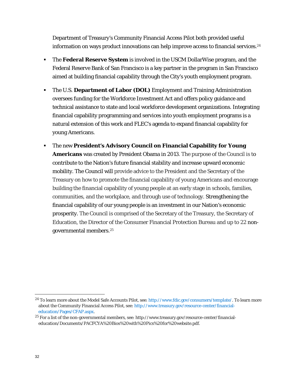Department of Treasury's Community Financial Access Pilot both provided useful information on ways product innovations can help improve access to financial services.<sup>24</sup>

- The **Federal Reserve System** is involved in the USCM DollarWise program, and the Federal Reserve Bank of San Francisco is a key partner in the program in San Francisco aimed at building financial capability through the City's youth employment program.
- The U.S. **Department of Labor (DOL)** Employment and Training Administration oversees funding for the Workforce Investment Act and offers policy guidance and technical assistance to state and local workforce development organizations. Integrating financial capability programming and services into youth employment programs is a natural extension of this work and FLEC's agenda to expand financial capability for young Americans.
- The new **President's Advisory Council on Financial Capability for Young Americans** was created by President Obama in 2013. The purpose of the Council is to contribute to the Nation's future financial stability and increase upward economic mobility. The Council will provide advice to the President and the Secretary of the Treasury on how to promote the financial capability of young Americans and encourage building the financial capability of young people at an early stage in schools, families, communities, and the workplace, and through use of technology. Strengthening the financial capability of our young people is an investment in our Nation's economic prosperity. The Council is comprised of the Secretary of the Treasury, the Secretary of Education, the Director of the Consumer Financial Protection Bureau and up to 22 nongovernmental members.25

<u>.</u>

<sup>&</sup>lt;sup>24</sup> To learn more about the Model Safe Accounts Pilot, see: http://www.fdic.gov/consumers/template/. To learn more about the Community Financial Access Pilot, see: http://www.treasury.gov/resource-center/financialeducation/Pages/CFAP.aspx.

<sup>25</sup> For a list of the non-governmental members, see: http://www.treasury.gov/resource-center/financialeducation/Documents/PACFCYA%20Bios%20with%20Pics%20for%20website.pdf.